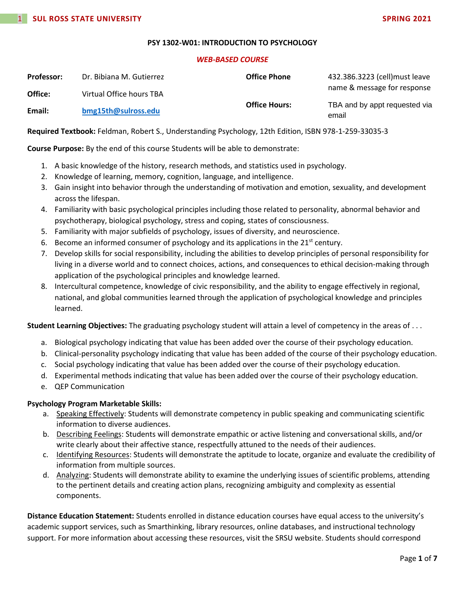### **PSY 1302-W01: INTRODUCTION TO PSYCHOLOGY**

#### *WEB-BASED COURSE*

| <b>Professor:</b> | Dr. Bibiana M. Gutierrez | <b>Office Phone</b>  | 432.386.3223 (cell) must leave         |
|-------------------|--------------------------|----------------------|----------------------------------------|
| Office:           | Virtual Office hours TBA |                      | name & message for response            |
| Email:            | bmg15th@sulross.edu      | <b>Office Hours:</b> | TBA and by appt requested via<br>email |

**Required Textbook:** Feldman, Robert S., Understanding Psychology, 12th Edition, ISBN 978-1-259-33035-3

**Course Purpose:** By the end of this course Students will be able to demonstrate:

- 1. A basic knowledge of the history, research methods, and statistics used in psychology.
- 2. Knowledge of learning, memory, cognition, language, and intelligence.
- 3. Gain insight into behavior through the understanding of motivation and emotion, sexuality, and development across the lifespan.
- 4. Familiarity with basic psychological principles including those related to personality, abnormal behavior and psychotherapy, biological psychology, stress and coping, states of consciousness.
- 5. Familiarity with major subfields of psychology, issues of diversity, and neuroscience.
- 6. Become an informed consumer of psychology and its applications in the  $21^{st}$  century.
- 7. Develop skills for social responsibility, including the abilities to develop principles of personal responsibility for living in a diverse world and to connect choices, actions, and consequences to ethical decision-making through application of the psychological principles and knowledge learned.
- 8. Intercultural competence, knowledge of civic responsibility, and the ability to engage effectively in regional, national, and global communities learned through the application of psychological knowledge and principles learned.

## **Student Learning Objectives:** The graduating psychology student will attain a level of competency in the areas of . . .

- a. Biological psychology indicating that value has been added over the course of their psychology education.
- b. Clinical-personality psychology indicating that value has been added of the course of their psychology education.
- c. Social psychology indicating that value has been added over the course of their psychology education.
- d. Experimental methods indicating that value has been added over the course of their psychology education.
- e. QEP Communication

### **Psychology Program Marketable Skills:**

- a. Speaking Effectively: Students will demonstrate competency in public speaking and communicating scientific information to diverse audiences.
- b. Describing Feelings: Students will demonstrate empathic or active listening and conversational skills, and/or write clearly about their affective stance, respectfully attuned to the needs of their audiences.
- c. Identifying Resources: Students will demonstrate the aptitude to locate, organize and evaluate the credibility of information from multiple sources.
- d. Analyzing: Students will demonstrate ability to examine the underlying issues of scientific problems, attending to the pertinent details and creating action plans, recognizing ambiguity and complexity as essential components.

**Distance Education Statement:** Students enrolled in distance education courses have equal access to the university's academic support services, such as Smarthinking, library resources, online databases, and instructional technology support. For more information about accessing these resources, visit the SRSU website. Students should correspond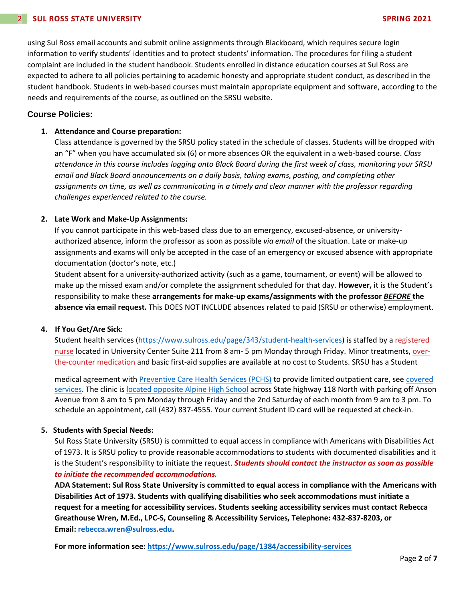using Sul Ross email accounts and submit online assignments through Blackboard, which requires secure login information to verify students' identities and to protect students' information. The procedures for filing a student complaint are included in the student handbook. Students enrolled in distance education courses at Sul Ross are expected to adhere to all policies pertaining to academic honesty and appropriate student conduct, as described in the student handbook. Students in web-based courses must maintain appropriate equipment and software, according to the needs and requirements of the course, as outlined on the SRSU website.

## **Course Policies:**

### **1. Attendance and Course preparation:**

Class attendance is governed by the SRSU policy stated in the schedule of classes. Students will be dropped with an "F" when you have accumulated six (6) or more absences OR the equivalent in a web-based course. *Class attendance in this course includes logging onto Black Board during the first week of class, monitoring your SRSU email and Black Board announcements on a daily basis, taking exams, posting, and completing other assignments on time, as well as communicating in a timely and clear manner with the professor regarding challenges experienced related to the course.*

### **2. Late Work and Make-Up Assignments:**

If you cannot participate in this web-based class due to an emergency, excused-absence, or universityauthorized absence, inform the professor as soon as possible *via email* of the situation. Late or make-up assignments and exams will only be accepted in the case of an emergency or excused absence with appropriate documentation (doctor's note, etc.)

Student absent for a university-authorized activity (such as a game, tournament, or event) will be allowed to make up the missed exam and/or complete the assignment scheduled for that day. **However,** it is the Student's responsibility to make these **arrangements for make-up exams/assignments with the professor** *BEFORE* **the absence via email request.** This DOES NOT INCLUDE absences related to paid (SRSU or otherwise) employment.

### **4. If You Get/Are Sick**:

Student health services [\(https://www.sulross.edu/page/343/student-health-services\)](https://www.sulross.edu/page/343/student-health-services) is staffed by a [registered](https://www.sulross.edu/faculty-and-staff/945/health-services-coordinator)  [nurse](https://www.sulross.edu/faculty-and-staff/945/health-services-coordinator) located in University Center Suite 211 from 8 am- 5 pm Monday through Friday. Minor treatments, [over](http://www.sulross.edu/page/1462/medications)[the-counter medication](http://www.sulross.edu/page/1462/medications) and basic first-aid supplies are available at no cost to Students. SRSU has a Student

medical agreement with [Preventive Care Health Services \(PCHS\)](http://www.pchsmedclinic.org/locations) to provide limited outpatient care, see [covered](http://www.sulross.edu/page/1471/preventive-care-health-services)  [services.](http://www.sulross.edu/page/1471/preventive-care-health-services) The clinic is [located opposite Alpine High School](http://www.sulross.edu/gallery-image/4341/health-service-locations) across State highway 118 North with parking off Anson Avenue from 8 am to 5 pm Monday through Friday and the 2nd Saturday of each month from 9 am to 3 pm. To schedule an appointment, call (432) 837-4555. Your current Student ID card will be requested at check-in.

### **5. Students with Special Needs:**

Sul Ross State University (SRSU) is committed to equal access in compliance with Americans with Disabilities Act of 1973. It is SRSU policy to provide reasonable accommodations to students with documented disabilities and it is the Student's responsibility to initiate the request. *Students should contact the instructor as soon as possible to initiate the recommended accommodations.*

**ADA Statement: Sul Ross State University is committed to equal access in compliance with the Americans with Disabilities Act of 1973. Students with qualifying disabilities who seek accommodations must initiate a request for a meeting for accessibility services. Students seeking accessibility services must contact Rebecca Greathouse Wren, M.Ed., LPC-S, Counseling & Accessibility Services, Telephone: 432-837-8203, or Email: [rebecca.wren@sulross.edu.](mailto:rebecca.wren@sulross.edu)**

**For more information see: <https://www.sulross.edu/page/1384/accessibility-services>**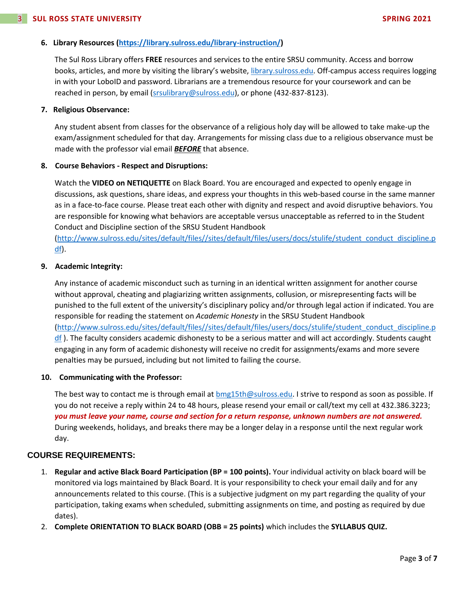## **6. Library Resources [\(https://library.sulross.edu/library-instruction/\)](https://library.sulross.edu/library-instruction/)**

The Sul Ross Library offers **FREE** resources and services to the entire SRSU community. Access and borrow books, articles, and more by visiting the library's website, [library.sulross.edu.](https://library.sulross.edu/) Off-campus access requires logging in with your LoboID and password. Librarians are a tremendous resource for your coursework and can be reached in person, by email [\(srsulibrary@sulross.edu\)](mailto:srsulibrary@sulross.edu), or phone (432-837-8123).

#### **7. Religious Observance:**

Any student absent from classes for the observance of a religious holy day will be allowed to take make-up the exam/assignment scheduled for that day. Arrangements for missing class due to a religious observance must be made with the professor vial email *BEFORE* that absence.

### **8. Course Behaviors - Respect and Disruptions:**

Watch the **VIDEO on NETIQUETTE** on Black Board. You are encouraged and expected to openly engage in discussions, ask questions, share ideas, and express your thoughts in this web-based course in the same manner as in a face-to-face course. Please treat each other with dignity and respect and avoid disruptive behaviors. You are responsible for knowing what behaviors are acceptable versus unacceptable as referred to in the Student Conduct and Discipline section of the SRSU Student Handbook

[\(http://www.sulross.edu/sites/default/files//sites/default/files/users/docs/stulife/student\\_conduct\\_discipline.p](http://www.sulross.edu/sites/default/files/sites/default/files/users/docs/stulife/student_conduct_discipline.pdf) [df\)](http://www.sulross.edu/sites/default/files/sites/default/files/users/docs/stulife/student_conduct_discipline.pdf).

#### **9. Academic Integrity:**

Any instance of academic misconduct such as turning in an identical written assignment for another course without approval, cheating and plagiarizing written assignments, collusion, or misrepresenting facts will be punished to the full extent of the university's disciplinary policy and/or through legal action if indicated. You are responsible for reading the statement on *Academic Honesty* in the SRSU Student Handbook [\(http://www.sulross.edu/sites/default/files//sites/default/files/users/docs/stulife/student\\_conduct\\_discipline.p](http://www.sulross.edu/sites/default/files/sites/default/files/users/docs/stulife/student_conduct_discipline.pdf)  $df$ ). The faculty considers academic dishonesty to be a serious matter and will act accordingly. Students caught engaging in any form of academic dishonesty will receive no credit for assignments/exams and more severe penalties may be pursued, including but not limited to failing the course.

### **10. Communicating with the Professor:**

The best way to contact me is through email at [bmg15th@sulross.edu.](mailto:bmg15th@sulross.edu) I strive to respond as soon as possible. If you do not receive a reply within 24 to 48 hours, please resend your email or call/text my cell at 432.386.3223; *you must leave your name, course and section for a return response, unknown numbers are not answered.* During weekends, holidays, and breaks there may be a longer delay in a response until the next regular work day.

### **COURSE REQUIREMENTS:**

- 1. **Regular and active Black Board Participation (BP = 100 points).** Your individual activity on black board will be monitored via logs maintained by Black Board. It is your responsibility to check your email daily and for any announcements related to this course. (This is a subjective judgment on my part regarding the quality of your participation, taking exams when scheduled, submitting assignments on time, and posting as required by due dates).
- 2. **Complete ORIENTATION TO BLACK BOARD (OBB = 25 points)** which includes the **SYLLABUS QUIZ.**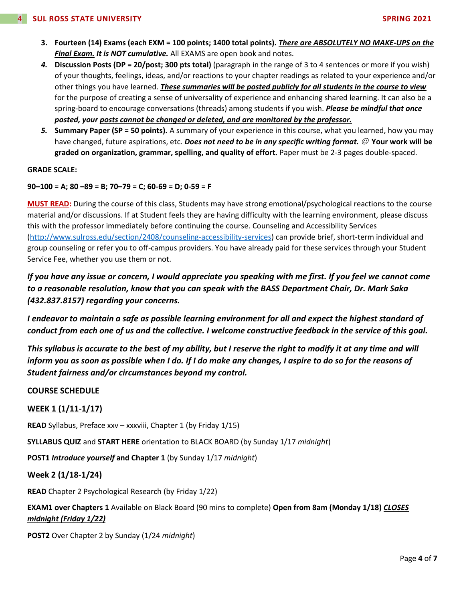- **3. Fourteen (14) Exams (each EXM = 100 points; 1400 total points).** *There are ABSOLUTELY NO MAKE-UPS on the Final Exam. It is NOT cumulative.* All EXAMS are open book and notes.
- *4.* **Discussion Posts (DP = 20/post; 300 pts total)** (paragraph in the range of 3 to 4 sentences or more if you wish) of your thoughts, feelings, ideas, and/or reactions to your chapter readings as related to your experience and/or other things you have learned. *These summaries will be posted publicly for all students in the course to view* for the purpose of creating a sense of universality of experience and enhancing shared learning. It can also be a spring-board to encourage conversations (threads) among students if you wish. *Please be mindful that once posted, your posts cannot be changed or deleted, and are monitored by the professor.*
- *5.* **Summary Paper (SP = 50 points).** A summary of your experience in this course, what you learned, how you may have changed, future aspirations, etc. *Does not need to be in any specific writing format.*  $\oslash$  Your work will be **graded on organization, grammar, spelling, and quality of effort.** Paper must be 2-3 pages double-spaced.

### **GRADE SCALE:**

**90–100 = A; 80 –89 = B; 70–79 = C; 60-69 = D; 0-59 = F**

**MUST READ:** During the course of this class, Students may have strong emotional/psychological reactions to the course material and/or discussions. If at Student feels they are having difficulty with the learning environment, please discuss this with the professor immediately before continuing the course. Counseling and Accessibility Services [\(http://www.sulross.edu/section/2408/counseling-accessibility-services\)](http://www.sulross.edu/section/2408/counseling-accessibility-services) can provide brief, short-term individual and group counseling or refer you to off-campus providers. You have already paid for these services through your Student Service Fee, whether you use them or not.

*If you have any issue or concern, I would appreciate you speaking with me first. If you feel we cannot come to a reasonable resolution, know that you can speak with the BASS Department Chair, Dr. Mark Saka (432.837.8157) regarding your concerns.*

*I endeavor to maintain a safe as possible learning environment for all and expect the highest standard of conduct from each one of us and the collective. I welcome constructive feedback in the service of this goal.*

*This syllabus is accurate to the best of my ability, but I reserve the right to modify it at any time and will inform you as soon as possible when I do. If I do make any changes, I aspire to do so for the reasons of Student fairness and/or circumstances beyond my control.*

## **COURSE SCHEDULE**

## **WEEK 1 (1/11-1/17)**

**READ** Syllabus, Preface xxv – xxxviii, Chapter 1 (by Friday 1/15)

**SYLLABUS QUIZ** and **START HERE** orientation to BLACK BOARD (by Sunday 1/17 *midnight*)

**POST1** *Introduce yourself* **and Chapter 1** (by Sunday 1/17 *midnight*)

### **Week 2 (1/18-1/24)**

**READ** Chapter 2 Psychological Research (by Friday 1/22)

**EXAM1 over Chapters 1** Available on Black Board (90 mins to complete) **Open from 8am (Monday 1/18)** *CLOSES midnight (Friday 1/22)*

**POST2** Over Chapter 2 by Sunday (1/24 *midnight*)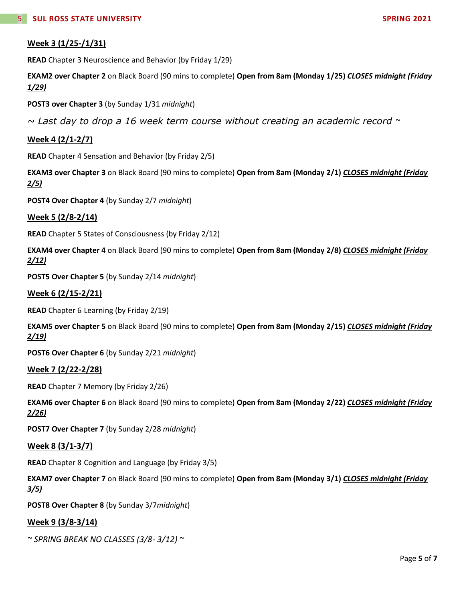# **Week 3 (1/25-/1/31)**

**READ** Chapter 3 Neuroscience and Behavior (by Friday 1/29)

**EXAM2 over Chapter 2** on Black Board (90 mins to complete) **Open from 8am (Monday 1/25)** *CLOSES midnight (Friday 1/29)*

**POST3 over Chapter 3** (by Sunday 1/31 *midnight*)

*~ Last day to drop a 16 week term course without creating an academic record ~*

# **Week 4 (2/1-2/7)**

**READ** Chapter 4 Sensation and Behavior (by Friday 2/5)

**EXAM3 over Chapter 3** on Black Board (90 mins to complete) **Open from 8am (Monday 2/1)** *CLOSES midnight (Friday 2/5)*

**POST4 Over Chapter 4** (by Sunday 2/7 *midnight*)

## **Week 5 (2/8-2/14)**

**READ** Chapter 5 States of Consciousness (by Friday 2/12)

**EXAM4 over Chapter 4** on Black Board (90 mins to complete) **Open from 8am (Monday 2/8)** *CLOSES midnight (Friday 2/12)*

**POST5 Over Chapter 5** (by Sunday 2/14 *midnight*)

### **Week 6 (2/15-2/21)**

**READ** Chapter 6 Learning (by Friday 2/19)

**EXAM5 over Chapter 5** on Black Board (90 mins to complete) **Open from 8am (Monday 2/15)** *CLOSES midnight (Friday 2/19)*

**POST6 Over Chapter 6** (by Sunday 2/21 *midnight*)

### **Week 7 (2/22-2/28)**

**READ** Chapter 7 Memory (by Friday 2/26)

**EXAM6 over Chapter 6** on Black Board (90 mins to complete) **Open from 8am (Monday 2/22)** *CLOSES midnight (Friday 2/26)*

**POST7 Over Chapter 7** (by Sunday 2/28 *midnight*)

### **Week 8 (3/1-3/7)**

**READ** Chapter 8 Cognition and Language (by Friday 3/5)

**EXAM7 over Chapter 7** on Black Board (90 mins to complete) **Open from 8am (Monday 3/1)** *CLOSES midnight (Friday 3/5)*

**POST8 Over Chapter 8** (by Sunday 3/7*midnight*)

### **Week 9 (3/8-3/14)**

*~ SPRING BREAK NO CLASSES (3/8- 3/12) ~*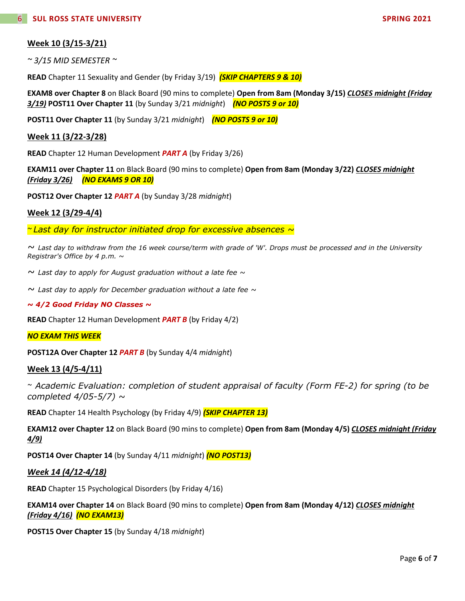# **Week 10 (3/15-3/21)**

*~ 3/15 MID SEMESTER ~*

**READ** Chapter 11 Sexuality and Gender (by Friday 3/19) *(SKIP CHAPTERS 9 & 10)*

**EXAM8 over Chapter 8** on Black Board (90 mins to complete) **Open from 8am (Monday 3/15)** *CLOSES midnight (Friday 3/19)* **POST11 Over Chapter 11** (by Sunday 3/21 *midnight*) *(NO POSTS 9 or 10)*

**POST11 Over Chapter 11** (by Sunday 3/21 *midnight*) *(NO POSTS 9 or 10)*

### **Week 11 (3/22-3/28)**

**READ** Chapter 12 Human Development *PART A* (by Friday 3/26)

**EXAM11 over Chapter 11** on Black Board (90 mins to complete) **Open from 8am (Monday 3/22)** *CLOSES midnight (Friday 3/26) (NO EXAMS 9 OR 10)*

**POST12 Over Chapter 12** *PART A* (by Sunday 3/28 *midnight*)

### **Week 12 (3/29-4/4)**

*~ Last day for instructor initiated drop for excessive absences ~*

*~ Last day to withdraw from the 16 week course/term with grade of 'W'. Drops must be processed and in the University Registrar's Office by 4 p.m. ~*

*~ Last day to apply for August graduation without a late fee ~*

*~ Last day to apply for December graduation without a late fee ~*

#### *~ 4/2 Good Friday NO Classes ~*

**READ** Chapter 12 Human Development *PART B* (by Friday 4/2)

### *NO EXAM THIS WEEK*

**POST12A Over Chapter 12** *PART B* (by Sunday 4/4 *midnight*)

# **Week 13 (4/5-4/11)**

*~ Academic Evaluation: completion of student appraisal of faculty (Form FE-2) for spring (to be completed 4/05-5/7) ~*

**READ** Chapter 14 Health Psychology (by Friday 4/9) *(SKIP CHAPTER 13)*

**EXAM12 over Chapter 12** on Black Board (90 mins to complete) **Open from 8am (Monday 4/5)** *CLOSES midnight (Friday 4/9)*

**POST14 Over Chapter 14** (by Sunday 4/11 *midnight*) *(NO POST13)*

### *Week 14 (4/12-4/18)*

**READ** Chapter 15 Psychological Disorders (by Friday 4/16)

**EXAM14 over Chapter 14** on Black Board (90 mins to complete) **Open from 8am (Monday 4/12)** *CLOSES midnight (Friday 4/16) (NO EXAM13)*

**POST15 Over Chapter 15** (by Sunday 4/18 *midnight*)